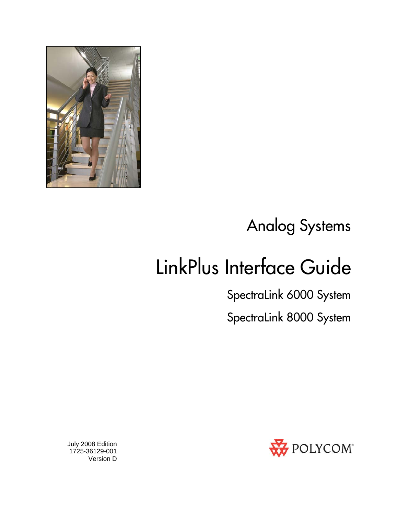

## Analog Systems

## LinkPlus Interface Guide

SpectraLink 6000 System

SpectraLink 8000 System



 July 2008 Edition 1725-36129-001 Version D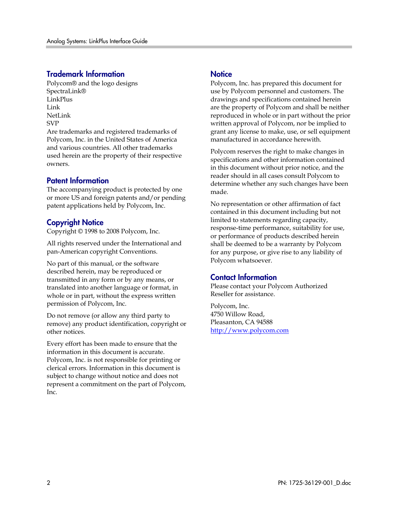#### Trademark Information

Polycom® and the logo designs SpectraLink® LinkPlus Link NetLink SVP

Are trademarks and registered trademarks of Polycom, Inc. in the United States of America and various countries. All other trademarks used herein are the property of their respective owners.

#### Patent Information

The accompanying product is protected by one or more US and foreign patents and/or pending patent applications held by Polycom, Inc.

#### Copyright Notice

Copyright © 1998 to 2008 Polycom, Inc.

All rights reserved under the International and pan-American copyright Conventions.

No part of this manual, or the software described herein, may be reproduced or transmitted in any form or by any means, or translated into another language or format, in whole or in part, without the express written permission of Polycom, Inc.

Do not remove (or allow any third party to remove) any product identification, copyright or other notices.

Every effort has been made to ensure that the information in this document is accurate. Polycom, Inc. is not responsible for printing or clerical errors. Information in this document is subject to change without notice and does not represent a commitment on the part of Polycom, Inc.

#### **Notice**

Polycom, Inc. has prepared this document for use by Polycom personnel and customers. The drawings and specifications contained herein are the property of Polycom and shall be neither reproduced in whole or in part without the prior written approval of Polycom, nor be implied to grant any license to make, use, or sell equipment manufactured in accordance herewith.

Polycom reserves the right to make changes in specifications and other information contained in this document without prior notice, and the reader should in all cases consult Polycom to determine whether any such changes have been made.

No representation or other affirmation of fact contained in this document including but not limited to statements regarding capacity, response-time performance, suitability for use, or performance of products described herein shall be deemed to be a warranty by Polycom for any purpose, or give rise to any liability of Polycom whatsoever.

#### Contact Information

Please contact your Polycom Authorized Reseller for assistance.

Polycom, Inc. 4750 Willow Road, Pleasanton, CA 94588 [http://www.polycom.com](http://www.polycom.com/)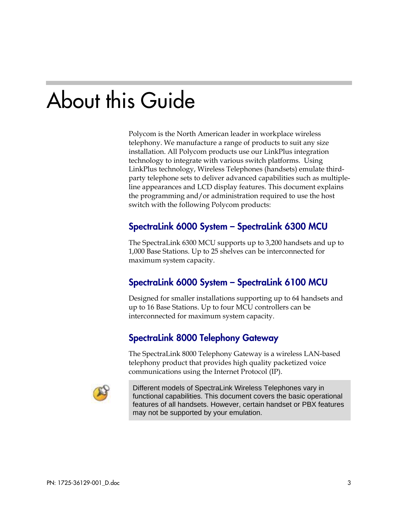## About this Guide

Polycom is the North American leader in workplace wireless telephony. We manufacture a range of products to suit any size installation. All Polycom products use our LinkPlus integration technology to integrate with various switch platforms. Using LinkPlus technology, Wireless Telephones (handsets) emulate thirdparty telephone sets to deliver advanced capabilities such as multipleline appearances and LCD display features. This document explains the programming and/or administration required to use the host switch with the following Polycom products:

#### SpectraLink 6000 System – SpectraLink 6300 MCU

The SpectraLink 6300 MCU supports up to 3,200 handsets and up to 1,000 Base Stations. Up to 25 shelves can be interconnected for maximum system capacity.

#### SpectraLink 6000 System – SpectraLink 6100 MCU

Designed for smaller installations supporting up to 64 handsets and up to 16 Base Stations. Up to four MCU controllers can be interconnected for maximum system capacity.

#### SpectraLink 8000 Telephony Gateway

The SpectraLink 8000 Telephony Gateway is a wireless LAN-based telephony product that provides high quality packetized voice communications using the Internet Protocol (IP).



Different models of SpectraLink Wireless Telephones vary in functional capabilities. This document covers the basic operational features of all handsets. However, certain handset or PBX features may not be supported by your emulation.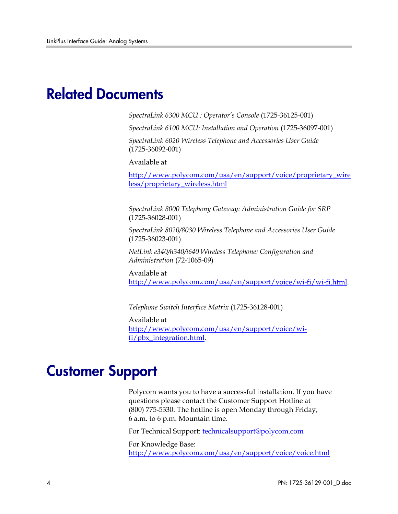### Related Documents

*SpectraLink 6300 MCU : Operator's Console* (1725-36125-001)

*SpectraLink 6100 MCU: Installation and Operation* (1725-36097-001)

*SpectraLink 6020 Wireless Telephone and Accessories User Guide*  (1725-36092-001)

Available at

[http://www.polycom.com/usa/en/support/voice/proprietary\\_wire](http://www.polycom.com/usa/en/support/voice/proprietary_wireless/proprietary_wireless.html) [less/proprietary\\_wireless.html](http://www.polycom.com/usa/en/support/voice/proprietary_wireless/proprietary_wireless.html)

*SpectraLink 8000 Telephony Gateway: Administration Guide for SRP*  (1725-36028-001)

*SpectraLink 8020/8030 Wireless Telephone and Accessories User Guide*  (1725-36023-001)

*NetLink e340/h340/i640 Wireless Telephone: Configuration and Administration* (72-1065-09)

Available at <http://www.polycom.com/usa/en/support/voice/wi-fi/wi-fi.html>.

*Telephone Switch Interface Matrix* (1725-36128-001)

Available at [http://www.polycom.com/usa/en/support/voice/wi](http://www.polycom.com/usa/en/support/voice/wi-fi/pbx_integration.html)[fi/pbx\\_integration.html.](http://www.polycom.com/usa/en/support/voice/wi-fi/pbx_integration.html)

### Customer Support

Polycom wants you to have a successful installation. If you have questions please contact the Customer Support Hotline at (800) 775-5330. The hotline is open Monday through Friday, 6 a.m. to 6 p.m. Mountain time.

For Technical Support: [technicalsupport@polycom.com](mailto:technicalsupport@polycom.com)

For Knowledge Base: <http://www.polycom.com/usa/en/support/voice/voice.html>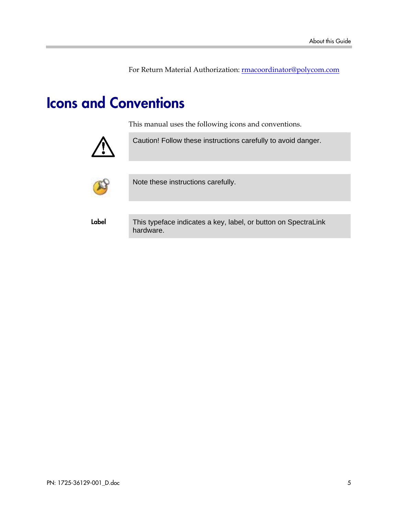For Return Material Authorization: [rmacoordinator@polycom.com](mailto:rmacoordinator@polycom.com)

## Icons and Conventions

This manual uses the following icons and conventions.



Caution! Follow these instructions carefully to avoid danger.



Note these instructions carefully.

Label This typeface indicates a key, label, or button on SpectraLink hardware.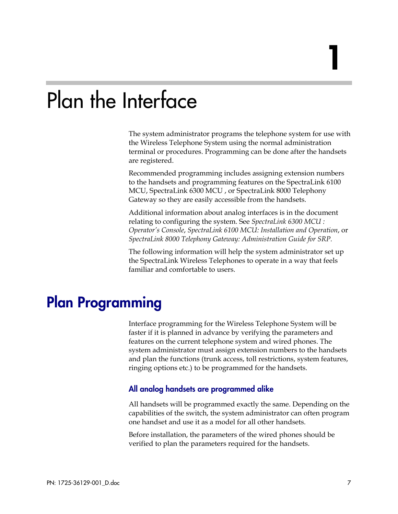## Plan the Interface

The system administrator programs the telephone system for use with the Wireless Telephone System using the normal administration terminal or procedures. Programming can be done after the handsets are registered.

Recommended programming includes assigning extension numbers to the handsets and programming features on the SpectraLink 6100 MCU, SpectraLink 6300 MCU , or SpectraLink 8000 Telephony Gateway so they are easily accessible from the handsets.

Additional information about analog interfaces is in the document relating to configuring the system. See *SpectraLink 6300 MCU : Operator's Console*, *SpectraLink 6100 MCU: Installation and Operation*, or *SpectraLink 8000 Telephony Gateway: Administration Guide for SRP.*

The following information will help the system administrator set up the SpectraLink Wireless Telephones to operate in a way that feels familiar and comfortable to users.

## Plan Programming

Interface programming for the Wireless Telephone System will be faster if it is planned in advance by verifying the parameters and features on the current telephone system and wired phones. The system administrator must assign extension numbers to the handsets and plan the functions (trunk access, toll restrictions, system features, ringing options etc.) to be programmed for the handsets.

#### All analog handsets are programmed alike

All handsets will be programmed exactly the same. Depending on the capabilities of the switch, the system administrator can often program one handset and use it as a model for all other handsets.

Before installation, the parameters of the wired phones should be verified to plan the parameters required for the handsets.

1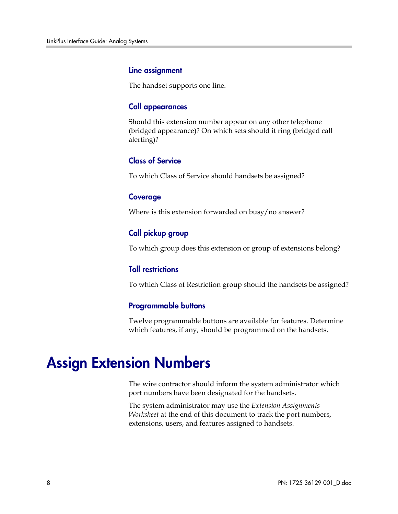#### Line assignment

The handset supports one line.

#### Call appearances

Should this extension number appear on any other telephone (bridged appearance)? On which sets should it ring (bridged call alerting)?

#### Class of Service

To which Class of Service should handsets be assigned?

#### **Coverage**

Where is this extension forwarded on busy/no answer?

#### Call pickup group

To which group does this extension or group of extensions belong?

#### Toll restrictions

To which Class of Restriction group should the handsets be assigned?

#### Programmable buttons

Twelve programmable buttons are available for features. Determine which features, if any, should be programmed on the handsets.

### Assign Extension Numbers

The wire contractor should inform the system administrator which port numbers have been designated for the handsets.

The system administrator may use the *Extension Assignments Worksheet* at the end of this document to track the port numbers, extensions, users, and features assigned to handsets.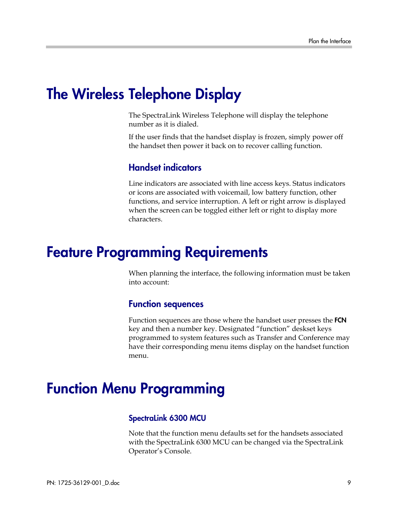### The Wireless Telephone Display

The SpectraLink Wireless Telephone will display the telephone number as it is dialed.

If the user finds that the handset display is frozen, simply power off the handset then power it back on to recover calling function.

#### Handset indicators

Line indicators are associated with line access keys. Status indicators or icons are associated with voicemail, low battery function, other functions, and service interruption. A left or right arrow is displayed when the screen can be toggled either left or right to display more characters.

### Feature Programming Requirements

When planning the interface, the following information must be taken into account:

#### Function sequences

Function sequences are those where the handset user presses the **FCN** key and then a number key. Designated "function" deskset keys programmed to system features such as Transfer and Conference may have their corresponding menu items display on the handset function menu.

### Function Menu Programming

#### SpectraLink 6300 MCU

Note that the function menu defaults set for the handsets associated with the SpectraLink 6300 MCU can be changed via the SpectraLink Operator's Console.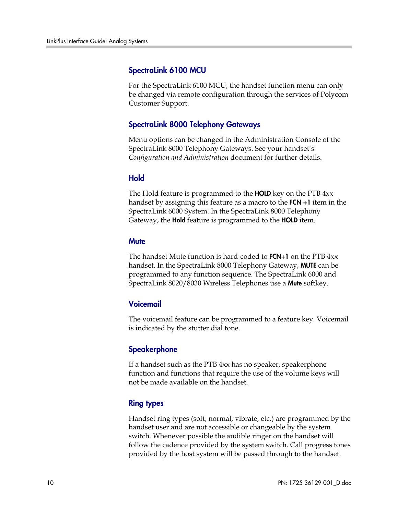#### SpectraLink 6100 MCU

For the SpectraLink 6100 MCU, the handset function menu can only be changed via remote configuration through the services of Polycom Customer Support.

#### SpectraLink 8000 Telephony Gateways

Menu options can be changed in the Administration Console of the SpectraLink 8000 Telephony Gateways. See your handset's *Configuration and Administration* document for further details.

#### Hold

The Hold feature is programmed to the **HOLD** key on the PTB 4xx handset by assigning this feature as a macro to the **FCN +1** item in the SpectraLink 6000 System. In the SpectraLink 8000 Telephony Gateway, the **Hold** feature is programmed to the **HOLD** item.

#### **Mute**

The handset Mute function is hard-coded to **FCN+1** on the PTB 4xx handset. In the SpectraLink 8000 Telephony Gateway, **MUTE** can be programmed to any function sequence. The SpectraLink 6000 and SpectraLink 8020/8030 Wireless Telephones use a Mute softkey.

#### Voicemail

The voicemail feature can be programmed to a feature key. Voicemail is indicated by the stutter dial tone.

#### **Speakerphone**

If a handset such as the PTB 4xx has no speaker, speakerphone function and functions that require the use of the volume keys will not be made available on the handset.

#### Ring types

Handset ring types (soft, normal, vibrate, etc.) are programmed by the handset user and are not accessible or changeable by the system switch. Whenever possible the audible ringer on the handset will follow the cadence provided by the system switch. Call progress tones provided by the host system will be passed through to the handset.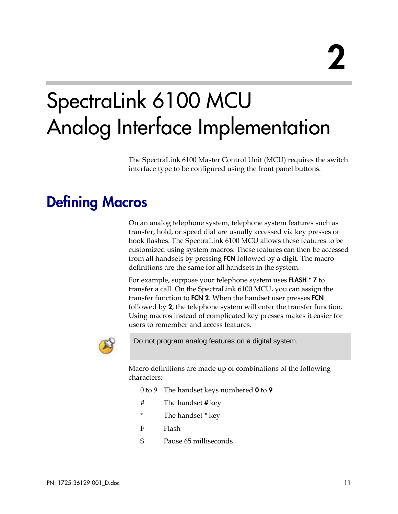## SpectraLink 6100 MCU Analog Interface Implementation

The SpectraLink 6100 Master Control Unit (MCU) requires the switch interface type to be configured using the front panel buttons.

## Defining Macros

On an analog telephone system, telephone system features such as transfer, hold, or speed dial are usually accessed via key presses or hook flashes. The SpectraLink 6100 MCU allows these features to be customized using system macros. These features can then be accessed from all handsets by pressing **FCN** followed by a digit. The macro definitions are the same for all handsets in the system.

For example, suppose your telephone system uses **FLASH** \* **7** to transfer a call. On the SpectraLink 6100 MCU, you can assign the transfer function to FCN 2. When the handset user presses FCN followed by 2, the telephone system will enter the transfer function. Using macros instead of complicated key presses makes it easier for users to remember and access features.



Do not program analog features on a digital system.

Macro definitions are made up of combinations of the following characters:

0 to 9 The handset keys numbered **0** to **9** 

- # The handset # key
- \* The handset \* key
- F Flash
- S Pause 65 milliseconds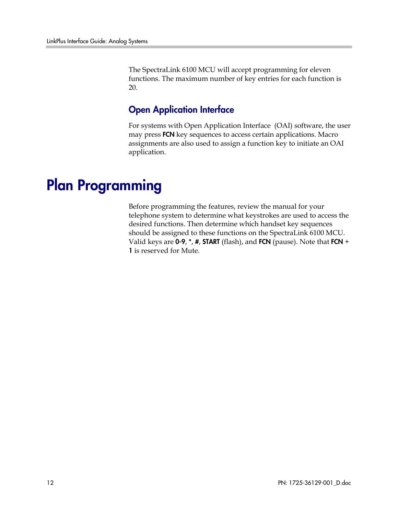The SpectraLink 6100 MCU will accept programming for eleven functions. The maximum number of key entries for each function is 20.

#### **Open Application Interface**

For systems with Open Application Interface (OAI) software, the user may press **FCN** key sequences to access certain applications. Macro assignments are also used to assign a function key to initiate an OAI application.

## Plan Programming

Before programming the features, review the manual for your telephone system to determine what keystrokes are used to access the desired functions. Then determine which handset key sequences should be assigned to these functions on the SpectraLink 6100 MCU. Valid keys are  $0.9$ ,  $*$ ,  $*$ , START (flash), and FCN (pause). Note that FCN  $+$ 1 is reserved for Mute.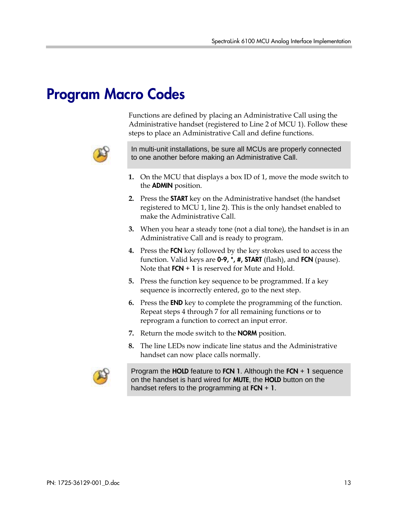## Program Macro Codes

Functions are defined by placing an Administrative Call using the Administrative handset (registered to Line 2 of MCU 1). Follow these steps to place an Administrative Call and define functions.



In multi-unit installations, be sure all MCUs are properly connected to one another before making an Administrative Call.

- **1.** On the MCU that displays a box ID of 1, move the mode switch to the ADMIN position.
- **2.** Press the START key on the Administrative handset (the handset registered to MCU 1, line 2). This is the only handset enabled to make the Administrative Call.
- **3.** When you hear a steady tone (not a dial tone), the handset is in an Administrative Call and is ready to program.
- **4.** Press the FCN key followed by the key strokes used to access the function. Valid keys are  $0.9$ ,  $*$ ,  $#$ , START (flash), and FCN (pause). Note that  $FCN + 1$  is reserved for Mute and Hold.
- **5.** Press the function key sequence to be programmed. If a key sequence is incorrectly entered, go to the next step.
- **6.** Press the END key to complete the programming of the function. Repeat steps 4 through 7 for all remaining functions or to reprogram a function to correct an input error.
- **7.** Return the mode switch to the NORM position.
- **8.** The line LEDs now indicate line status and the Administrative handset can now place calls normally.



Program the HOLD feature to FCN 1. Although the FCN + 1 sequence on the handset is hard wired for **MUTE**, the **HOLD** button on the handset refers to the programming at  $FCN + 1$ .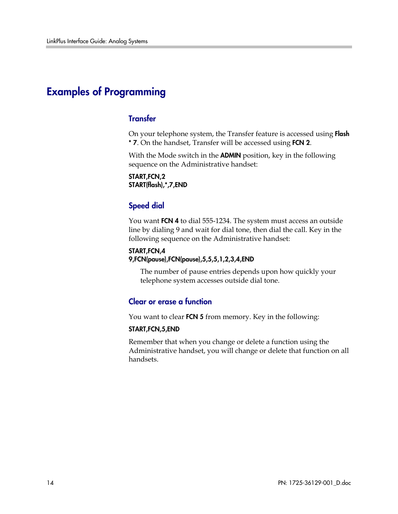#### Examples of Programming

#### **Transfer**

On your telephone system, the Transfer feature is accessed using Flash \* 7. On the handset, Transfer will be accessed using FCN 2.

With the Mode switch in the **ADMIN** position, key in the following sequence on the Administrative handset:

START,FCN,2 START(flash),\*,7,END

#### Speed dial

You want FCN 4 to dial 555-1234. The system must access an outside line by dialing 9 and wait for dial tone, then dial the call. Key in the following sequence on the Administrative handset:

#### START,FCN,4 9,FCN(pause),FCN(pause),5,5,5,1,2,3,4,END

The number of pause entries depends upon how quickly your telephone system accesses outside dial tone.

#### Clear or erase a function

You want to clear FCN 5 from memory. Key in the following:

#### START,FCN,5,END

Remember that when you change or delete a function using the Administrative handset, you will change or delete that function on all handsets.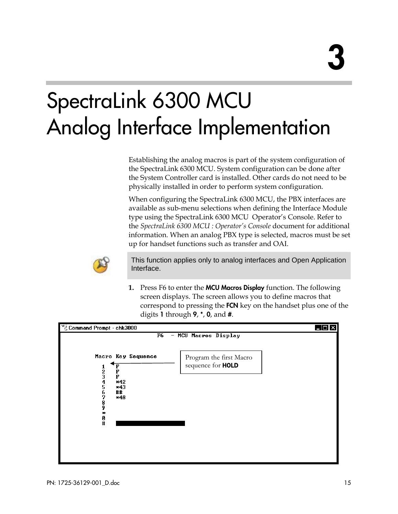## SpectraLink 6300 MCU Analog Interface Implementation

Establishing the analog macros is part of the system configuration of the SpectraLink 6300 MCU. System configuration can be done after the System Controller card is installed. Other cards do not need to be physically installed in order to perform system configuration.

When configuring the SpectraLink 6300 MCU, the PBX interfaces are available as sub-menu selections when defining the Interface Module type using the SpectraLink 6300 MCU Operator's Console. Refer to the *SpectraLink 6300 MCU : Operator's Console* document for additional information. When an analog PBX type is selected, macros must be set up for handset functions such as transfer and OAI.



This function applies only to analog interfaces and Open Application Interface.

**1.** Press F6 to enter the MCU Macros Display function. The following screen displays. The screen allows you to define macros that correspond to pressing the **FCN** key on the handset plus one of the digits 1 through  $9, *, 0,$  and  $#$ .

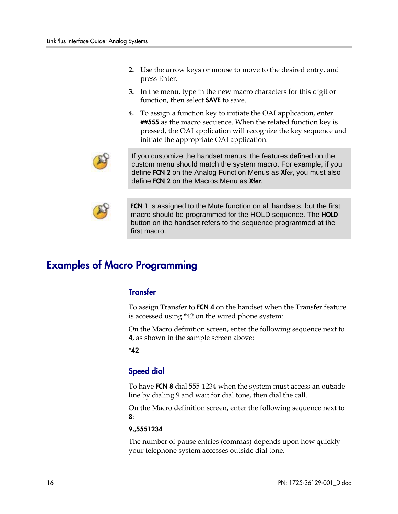- **2.** Use the arrow keys or mouse to move to the desired entry, and press Enter.
- **3.** In the menu, type in the new macro characters for this digit or function, then select **SAVE** to save.
- **4.** To assign a function key to initiate the OAI application, enter ##555 as the macro sequence. When the related function key is pressed, the OAI application will recognize the key sequence and initiate the appropriate OAI application.



If you customize the handset menus, the features defined on the custom menu should match the system macro. For example, if you define FCN 2 on the Analog Function Menus as Xfer, you must also define FCN 2 on the Macros Menu as Xfer.



FCN 1 is assigned to the Mute function on all handsets, but the first macro should be programmed for the HOLD sequence. The **HOLD** button on the handset refers to the sequence programmed at the first macro.

#### Examples of Macro Programming

#### **Transfer**

To assign Transfer to FCN 4 on the handset when the Transfer feature is accessed using \*42 on the wired phone system:

On the Macro definition screen, enter the following sequence next to 4, as shown in the sample screen above:

\*42

#### Speed dial

To have FCN 8 dial 555-1234 when the system must access an outside line by dialing 9 and wait for dial tone, then dial the call.

On the Macro definition screen, enter the following sequence next to 8:

#### 9,,5551234

The number of pause entries (commas) depends upon how quickly your telephone system accesses outside dial tone.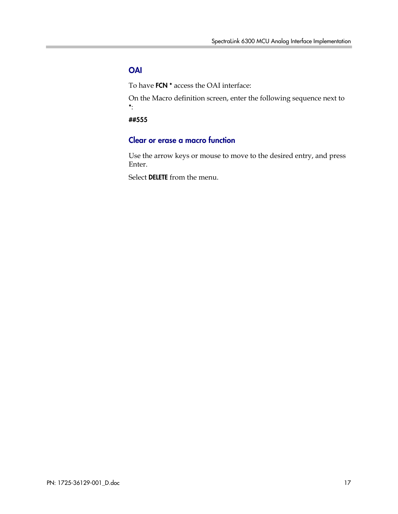#### **OAI**

To have FCN \* access the OAI interface:

On the Macro definition screen, enter the following sequence next to \*:

##555

#### Clear or erase a macro function

Use the arrow keys or mouse to move to the desired entry, and press Enter.

Select DELETE from the menu.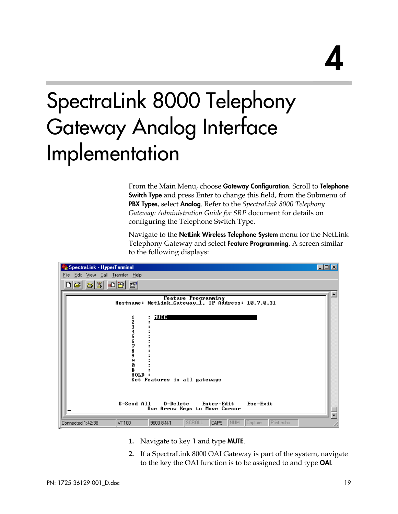# 4

## SpectraLink 8000 Telephony Gateway Analog Interface Implementation

From the Main Menu, choose Gateway Configuration. Scroll to Telephone **Switch Type** and press Enter to change this field, from the Submenu of PBX Types, select Analog. Refer to the *SpectraLink 8000 Telephony Gateway: Administration Guide for SRP* document for details on configuring the Telephone Switch Type.

Navigate to the **NetLink Wireless Telephone System** menu for the NetLink Telephony Gateway and select Feature Programming. A screen similar to the following displays:

| SpectraLink - HyperTerminal                                                                                       | $ \Box$ $\times$ |
|-------------------------------------------------------------------------------------------------------------------|------------------|
| File Edit View Call Transfer Help                                                                                 |                  |
| 3 db 1<br>øΙ                                                                                                      |                  |
| <b>Feature Programming</b><br>Hostname: NetLink_Gateway_1, IP Address: 10.7.0.31                                  |                  |
| mre a<br>1234567<br>8<br>9<br>$\frac{1}{2}$<br>Ø<br>HOLD                                                          |                  |
| Set Features in all gateways<br>D=Delete<br>Esc=Exit<br>S=Send All<br>Enter=Edit<br>Use Arrow Keys to Move Cursor |                  |
| SCROLL<br><b>NUM</b><br>Capture<br>Print echo<br><b>CAPS</b><br>VT100<br>9600 8-N-1<br>Connected 1:42:38          |                  |

- **1.** Navigate to key 1 and type MUTE.
- **2.** If a SpectraLink 8000 OAI Gateway is part of the system, navigate to the key the OAI function is to be assigned to and type OAI.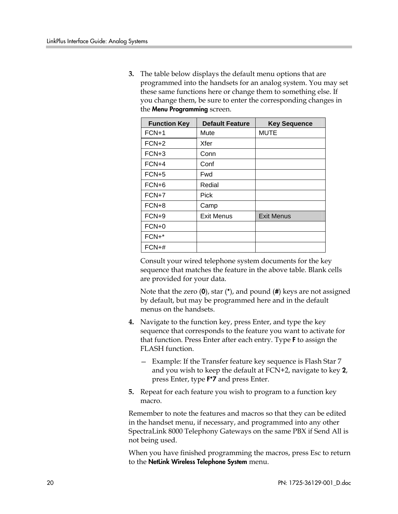**3.** The table below displays the default menu options that are programmed into the handsets for an analog system. You may set these same functions here or change them to something else. If you change them, be sure to enter the corresponding changes in the Menu Programming screen.

| <b>Function Key</b> | <b>Default Feature</b> | <b>Key Sequence</b> |
|---------------------|------------------------|---------------------|
| $FCN+1$             | Mute                   | <b>MUTE</b>         |
| $FCN+2$             | Xfer                   |                     |
| $FCN+3$             | Conn                   |                     |
| $FCN+4$             | Conf                   |                     |
| $FCN+5$             | Fwd                    |                     |
| $FCN+6$             | Redial                 |                     |
| $FCN+7$             | <b>Pick</b>            |                     |
| FCN+8               | Camp                   |                     |
| $FCN+9$             | <b>Exit Menus</b>      | <b>Exit Menus</b>   |
| $FCN+0$             |                        |                     |
| $FCN+*$             |                        |                     |
| $FCN+#$             |                        |                     |

Consult your wired telephone system documents for the key sequence that matches the feature in the above table. Blank cells are provided for your data.

Note that the zero  $(0)$ , star  $(*)$ , and pound  $(\#)$  keys are not assigned by default, but may be programmed here and in the default menus on the handsets.

- **4.** Navigate to the function key, press Enter, and type the key sequence that corresponds to the feature you want to activate for that function. Press Enter after each entry. Type F to assign the FLASH function.
	- Example: If the Transfer feature key sequence is Flash Star 7 and you wish to keep the default at FCN+2, navigate to key 2, press Enter, type F\*7 and press Enter.
- **5.** Repeat for each feature you wish to program to a function key macro.

Remember to note the features and macros so that they can be edited in the handset menu, if necessary, and programmed into any other SpectraLink 8000 Telephony Gateways on the same PBX if Send All is not being used.

When you have finished programming the macros, press Esc to return to the NetLink Wireless Telephone System menu.